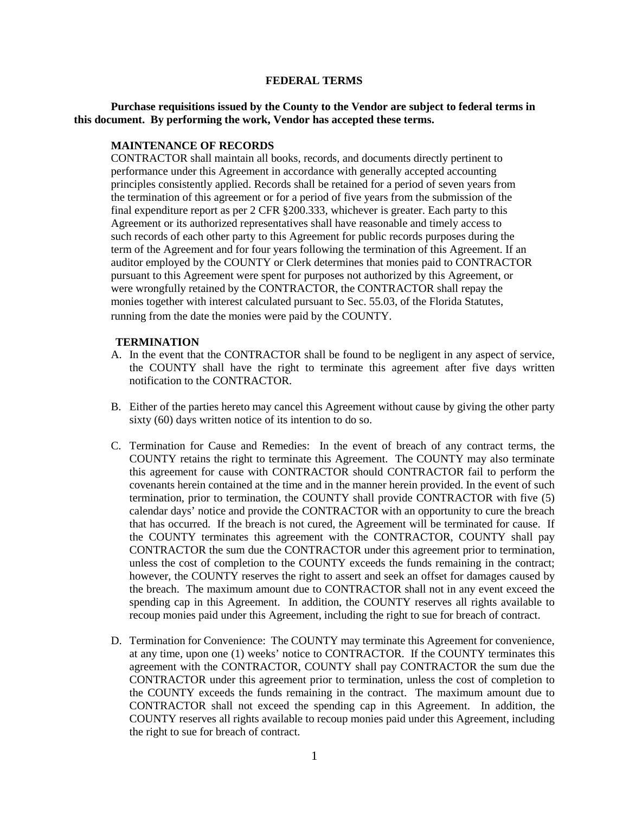#### **FEDERAL TERMS**

## **Purchase requisitions issued by the County to the Vendor are subject to federal terms in this document. By performing the work, Vendor has accepted these terms.**

## **MAINTENANCE OF RECORDS**

CONTRACTOR shall maintain all books, records, and documents directly pertinent to performance under this Agreement in accordance with generally accepted accounting principles consistently applied. Records shall be retained for a period of seven years from the termination of this agreement or for a period of five years from the submission of the final expenditure report as per 2 CFR §200.333, whichever is greater. Each party to this Agreement or its authorized representatives shall have reasonable and timely access to such records of each other party to this Agreement for public records purposes during the term of the Agreement and for four years following the termination of this Agreement. If an auditor employed by the COUNTY or Clerk determines that monies paid to CONTRACTOR pursuant to this Agreement were spent for purposes not authorized by this Agreement, or were wrongfully retained by the CONTRACTOR, the CONTRACTOR shall repay the monies together with interest calculated pursuant to Sec. 55.03, of the Florida Statutes, running from the date the monies were paid by the COUNTY.

#### **TERMINATION**

- A. In the event that the CONTRACTOR shall be found to be negligent in any aspect of service, the COUNTY shall have the right to terminate this agreement after five days written notification to the CONTRACTOR.
- B. Either of the parties hereto may cancel this Agreement without cause by giving the other party sixty (60) days written notice of its intention to do so.
- C. Termination for Cause and Remedies: In the event of breach of any contract terms, the COUNTY retains the right to terminate this Agreement. The COUNTY may also terminate this agreement for cause with CONTRACTOR should CONTRACTOR fail to perform the covenants herein contained at the time and in the manner herein provided. In the event of such termination, prior to termination, the COUNTY shall provide CONTRACTOR with five (5) calendar days' notice and provide the CONTRACTOR with an opportunity to cure the breach that has occurred. If the breach is not cured, the Agreement will be terminated for cause. If the COUNTY terminates this agreement with the CONTRACTOR, COUNTY shall pay CONTRACTOR the sum due the CONTRACTOR under this agreement prior to termination, unless the cost of completion to the COUNTY exceeds the funds remaining in the contract; however, the COUNTY reserves the right to assert and seek an offset for damages caused by the breach. The maximum amount due to CONTRACTOR shall not in any event exceed the spending cap in this Agreement. In addition, the COUNTY reserves all rights available to recoup monies paid under this Agreement, including the right to sue for breach of contract.
- D. Termination for Convenience: The COUNTY may terminate this Agreement for convenience, at any time, upon one (1) weeks' notice to CONTRACTOR. If the COUNTY terminates this agreement with the CONTRACTOR, COUNTY shall pay CONTRACTOR the sum due the CONTRACTOR under this agreement prior to termination, unless the cost of completion to the COUNTY exceeds the funds remaining in the contract. The maximum amount due to CONTRACTOR shall not exceed the spending cap in this Agreement. In addition, the COUNTY reserves all rights available to recoup monies paid under this Agreement, including the right to sue for breach of contract.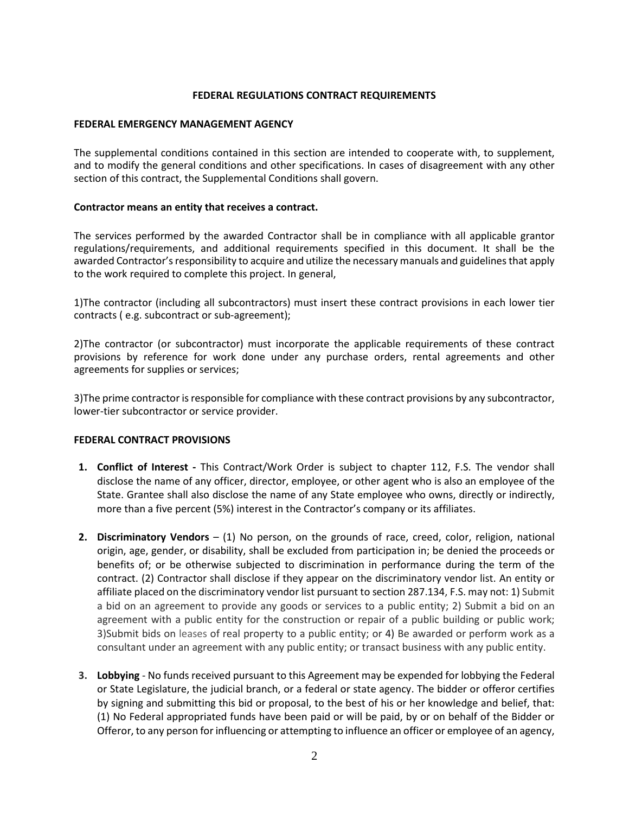## **FEDERAL REGULATIONS CONTRACT REQUIREMENTS**

## **FEDERAL EMERGENCY MANAGEMENT AGENCY**

The supplemental conditions contained in this section are intended to cooperate with, to supplement, and to modify the general conditions and other specifications. In cases of disagreement with any other section of this contract, the Supplemental Conditions shall govern.

# **Contractor means an entity that receives a contract.**

The services performed by the awarded Contractor shall be in compliance with all applicable grantor regulations/requirements, and additional requirements specified in this document. It shall be the awarded Contractor's responsibility to acquire and utilize the necessary manuals and guidelines that apply to the work required to complete this project. In general,

1)The contractor (including all subcontractors) must insert these contract provisions in each lower tier contracts ( e.g. subcontract or sub-agreement);

2)The contractor (or subcontractor) must incorporate the applicable requirements of these contract provisions by reference for work done under any purchase orders, rental agreements and other agreements for supplies or services;

3)The prime contractor is responsible for compliance with these contract provisions by any subcontractor, lower-tier subcontractor or service provider.

## **FEDERAL CONTRACT PROVISIONS**

- **1. Conflict of Interest** This Contract/Work Order is subject to chapter 112, F.S. The vendor shall disclose the name of any officer, director, employee, or other agent who is also an employee of the State. Grantee shall also disclose the name of any State employee who owns, directly or indirectly, more than a five percent (5%) interest in the Contractor's company or its affiliates.
- **2. Discriminatory Vendors**  (1) No person, on the grounds of race, creed, color, religion, national origin, age, gender, or disability, shall be excluded from participation in; be denied the proceeds or benefits of; or be otherwise subjected to discrimination in performance during the term of the contract. (2) Contractor shall disclose if they appear on the discriminatory vendor list. An entity or affiliate placed on the discriminatory vendor list pursuant to section 287.134, F.S. may not: 1) Submit a bid on an agreement to provide any goods or services to a public entity; 2) Submit a bid on an agreement with a public entity for the construction or repair of a public building or public work; 3)Submit bids on leases of real property to a public entity; or 4) Be awarded or perform work as a consultant under an agreement with any public entity; or transact business with any public entity.
- **3. Lobbying**  No funds received pursuant to this Agreement may be expended for lobbying the Federal or State Legislature, the judicial branch, or a federal or state agency. The bidder or offeror certifies by signing and submitting this bid or proposal, to the best of his or her knowledge and belief, that: (1) No Federal appropriated funds have been paid or will be paid, by or on behalf of the Bidder or Offeror, to any person for influencing or attempting to influence an officer or employee of an agency,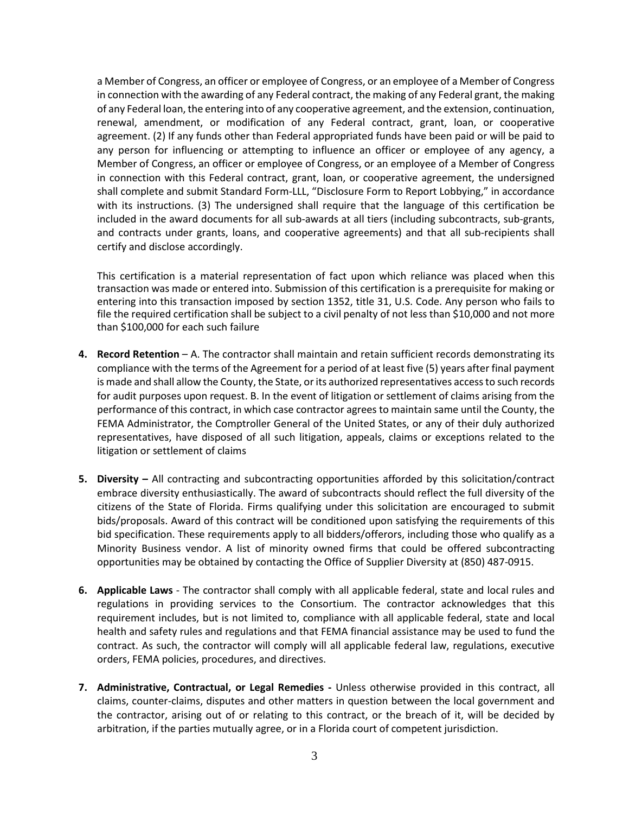a Member of Congress, an officer or employee of Congress, or an employee of a Member of Congress in connection with the awarding of any Federal contract, the making of any Federal grant, the making of any Federal loan, the entering into of any cooperative agreement, and the extension, continuation, renewal, amendment, or modification of any Federal contract, grant, loan, or cooperative agreement. (2) If any funds other than Federal appropriated funds have been paid or will be paid to any person for influencing or attempting to influence an officer or employee of any agency, a Member of Congress, an officer or employee of Congress, or an employee of a Member of Congress in connection with this Federal contract, grant, loan, or cooperative agreement, the undersigned shall complete and submit Standard Form-LLL, "Disclosure Form to Report Lobbying," in accordance with its instructions. (3) The undersigned shall require that the language of this certification be included in the award documents for all sub-awards at all tiers (including subcontracts, sub-grants, and contracts under grants, loans, and cooperative agreements) and that all sub-recipients shall certify and disclose accordingly.

This certification is a material representation of fact upon which reliance was placed when this transaction was made or entered into. Submission of this certification is a prerequisite for making or entering into this transaction imposed by section 1352, title 31, U.S. Code. Any person who fails to file the required certification shall be subject to a civil penalty of not less than \$10,000 and not more than \$100,000 for each such failure

- **4. Record Retention**  A. The contractor shall maintain and retain sufficient records demonstrating its compliance with the terms of the Agreement for a period of at least five (5) years after final payment is made and shall allow the County, the State, or its authorized representatives access to such records for audit purposes upon request. B. In the event of litigation or settlement of claims arising from the performance of this contract, in which case contractor agrees to maintain same until the County, the FEMA Administrator, the Comptroller General of the United States, or any of their duly authorized representatives, have disposed of all such litigation, appeals, claims or exceptions related to the litigation or settlement of claims
- **5. Diversity** All contracting and subcontracting opportunities afforded by this solicitation/contract embrace diversity enthusiastically. The award of subcontracts should reflect the full diversity of the citizens of the State of Florida. Firms qualifying under this solicitation are encouraged to submit bids/proposals. Award of this contract will be conditioned upon satisfying the requirements of this bid specification. These requirements apply to all bidders/offerors, including those who qualify as a Minority Business vendor. A list of minority owned firms that could be offered subcontracting opportunities may be obtained by contacting the Office of Supplier Diversity at (850) 487-0915.
- **6. Applicable Laws**  The contractor shall comply with all applicable federal, state and local rules and regulations in providing services to the Consortium. The contractor acknowledges that this requirement includes, but is not limited to, compliance with all applicable federal, state and local health and safety rules and regulations and that FEMA financial assistance may be used to fund the contract. As such, the contractor will comply will all applicable federal law, regulations, executive orders, FEMA policies, procedures, and directives.
- **7. Administrative, Contractual, or Legal Remedies** Unless otherwise provided in this contract, all claims, counter-claims, disputes and other matters in question between the local government and the contractor, arising out of or relating to this contract, or the breach of it, will be decided by arbitration, if the parties mutually agree, or in a Florida court of competent jurisdiction.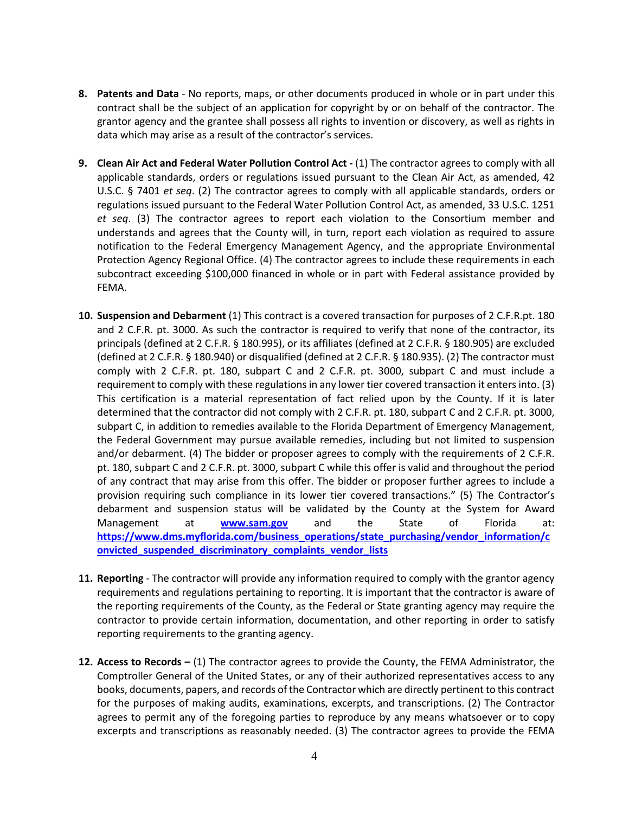- **8. Patents and Data**  No reports, maps, or other documents produced in whole or in part under this contract shall be the subject of an application for copyright by or on behalf of the contractor. The grantor agency and the grantee shall possess all rights to invention or discovery, as well as rights in data which may arise as a result of the contractor's services.
- **9. Clean Air Act and Federal Water Pollution Control Act (1)** The contractor agrees to comply with all applicable standards, orders or regulations issued pursuant to the Clean Air Act, as amended, 42 U.S.C. § 7401 *et seq*. (2) The contractor agrees to comply with all applicable standards, orders or regulations issued pursuant to the Federal Water Pollution Control Act, as amended, 33 U.S.C. 1251 *et seq*. (3) The contractor agrees to report each violation to the Consortium member and understands and agrees that the County will, in turn, report each violation as required to assure notification to the Federal Emergency Management Agency, and the appropriate Environmental Protection Agency Regional Office. (4) The contractor agrees to include these requirements in each subcontract exceeding \$100,000 financed in whole or in part with Federal assistance provided by FEMA.
- **10. Suspension and Debarment** (1) This contract is a covered transaction for purposes of 2 C.F.R.pt. 180 and 2 C.F.R. pt. 3000. As such the contractor is required to verify that none of the contractor, its principals (defined at 2 C.F.R. § 180.995), or its affiliates (defined at 2 C.F.R. § 180.905) are excluded (defined at 2 C.F.R. § 180.940) or disqualified (defined at 2 C.F.R. § 180.935). (2) The contractor must comply with 2 C.F.R. pt. 180, subpart C and 2 C.F.R. pt. 3000, subpart C and must include a requirement to comply with these regulations in any lower tier covered transaction it enters into. (3) This certification is a material representation of fact relied upon by the County. If it is later determined that the contractor did not comply with 2 C.F.R. pt. 180, subpart C and 2 C.F.R. pt. 3000, subpart C, in addition to remedies available to the Florida Department of Emergency Management, the Federal Government may pursue available remedies, including but not limited to suspension and/or debarment. (4) The bidder or proposer agrees to comply with the requirements of 2 C.F.R. pt. 180, subpart C and 2 C.F.R. pt. 3000, subpart C while this offer is valid and throughout the period of any contract that may arise from this offer. The bidder or proposer further agrees to include a provision requiring such compliance in its lower tier covered transactions." (5) The Contractor's debarment and suspension status will be validated by the County at the System for Award Management at **www.sam.gov** and the State of Florida at: **https://www.dms.myflorida.com/business\_operations/state\_purchasing/vendor\_information/c onvicted\_suspended\_discriminatory\_complaints\_vendor\_lists**
- **11. Reporting**  The contractor will provide any information required to comply with the grantor agency requirements and regulations pertaining to reporting. It is important that the contractor is aware of the reporting requirements of the County, as the Federal or State granting agency may require the contractor to provide certain information, documentation, and other reporting in order to satisfy reporting requirements to the granting agency.
- **12. Access to Records** (1) The contractor agrees to provide the County, the FEMA Administrator, the Comptroller General of the United States, or any of their authorized representatives access to any books, documents, papers, and records of the Contractor which are directly pertinent to this contract for the purposes of making audits, examinations, excerpts, and transcriptions. (2) The Contractor agrees to permit any of the foregoing parties to reproduce by any means whatsoever or to copy excerpts and transcriptions as reasonably needed. (3) The contractor agrees to provide the FEMA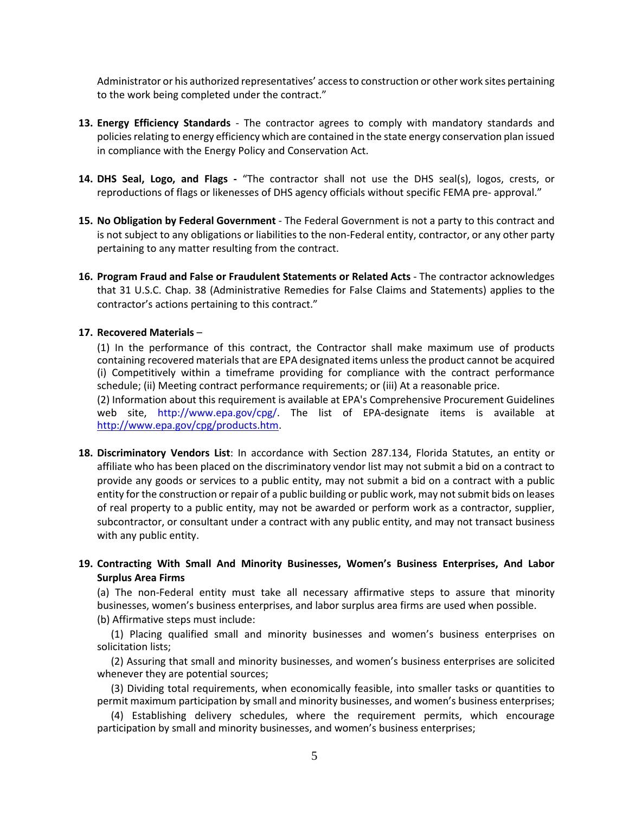Administrator or his authorized representatives' access to construction or other work sites pertaining to the work being completed under the contract."

- **13. Energy Efficiency Standards**  The contractor agrees to comply with mandatory standards and policies relating to energy efficiency which are contained in the state energy conservation plan issued in compliance with the Energy Policy and Conservation Act.
- **14. DHS Seal, Logo, and Flags** "The contractor shall not use the DHS seal(s), logos, crests, or reproductions of flags or likenesses of DHS agency officials without specific FEMA pre- approval."
- **15. No Obligation by Federal Government**  The Federal Government is not a party to this contract and is not subject to any obligations or liabilities to the non-Federal entity, contractor, or any other party pertaining to any matter resulting from the contract.
- **16. Program Fraud and False or Fraudulent Statements or Related Acts**  The contractor acknowledges that 31 U.S.C. Chap. 38 (Administrative Remedies for False Claims and Statements) applies to the contractor's actions pertaining to this contract."

#### **17. Recovered Materials** –

(1) In the performance of this contract, the Contractor shall make maximum use of products containing recovered materials that are EPA designated items unless the product cannot be acquired (i) Competitively within a timeframe providing for compliance with the contract performance schedule; (ii) Meeting contract performance requirements; or (iii) At a reasonable price.

(2) Information about this requirement is available at EPA's Comprehensive Procurement Guidelines web site, http://www.epa.gov/cpg/. The list of EPA-designate items is available at http://www.epa.gov/cpg/products.htm.

**18. Discriminatory Vendors List**: In accordance with Section 287.134, Florida Statutes, an entity or affiliate who has been placed on the discriminatory vendor list may not submit a bid on a contract to provide any goods or services to a public entity, may not submit a bid on a contract with a public entity for the construction or repair of a public building or public work, may not submit bids on leases of real property to a public entity, may not be awarded or perform work as a contractor, supplier, subcontractor, or consultant under a contract with any public entity, and may not transact business with any public entity.

# **19. Contracting With Small And Minority Businesses, Women's Business Enterprises, And Labor Surplus Area Firms**

(a) The non-Federal entity must take all necessary affirmative steps to assure that minority businesses, women's business enterprises, and labor surplus area firms are used when possible.

(b) Affirmative steps must include:

(1) Placing qualified small and minority businesses and women's business enterprises on solicitation lists;

(2) Assuring that small and minority businesses, and women's business enterprises are solicited whenever they are potential sources;

(3) Dividing total requirements, when economically feasible, into smaller tasks or quantities to permit maximum participation by small and minority businesses, and women's business enterprises;

(4) Establishing delivery schedules, where the requirement permits, which encourage participation by small and minority businesses, and women's business enterprises;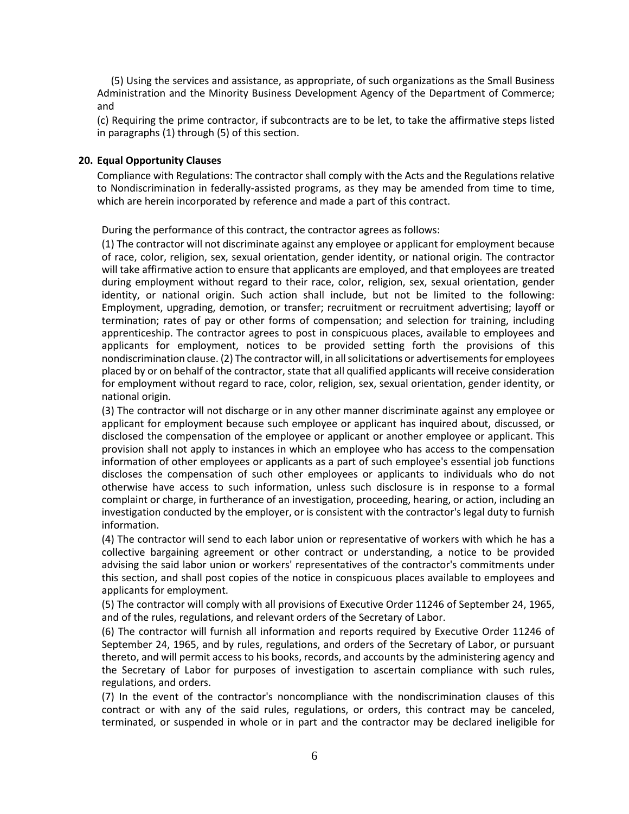(5) Using the services and assistance, as appropriate, of such organizations as the Small Business Administration and the Minority Business Development Agency of the Department of Commerce; and

(c) Requiring the prime contractor, if subcontracts are to be let, to take the affirmative steps listed in paragraphs (1) through (5) of this section.

# **20. Equal Opportunity Clauses**

Compliance with Regulations: The contractor shall comply with the Acts and the Regulations relative to Nondiscrimination in federally-assisted programs, as they may be amended from time to time, which are herein incorporated by reference and made a part of this contract.

During the performance of this contract, the contractor agrees as follows:

(1) The contractor will not discriminate against any employee or applicant for employment because of race, color, religion, sex, sexual orientation, gender identity, or national origin. The contractor will take affirmative action to ensure that applicants are employed, and that employees are treated during employment without regard to their race, color, religion, sex, sexual orientation, gender identity, or national origin. Such action shall include, but not be limited to the following: Employment, upgrading, demotion, or transfer; recruitment or recruitment advertising; layoff or termination; rates of pay or other forms of compensation; and selection for training, including apprenticeship. The contractor agrees to post in conspicuous places, available to employees and applicants for employment, notices to be provided setting forth the provisions of this nondiscrimination clause. (2) The contractor will, in all solicitations or advertisements for employees placed by or on behalf of the contractor, state that all qualified applicants will receive consideration for employment without regard to race, color, religion, sex, sexual orientation, gender identity, or national origin.

(3) The contractor will not discharge or in any other manner discriminate against any employee or applicant for employment because such employee or applicant has inquired about, discussed, or disclosed the compensation of the employee or applicant or another employee or applicant. This provision shall not apply to instances in which an employee who has access to the compensation information of other employees or applicants as a part of such employee's essential job functions discloses the compensation of such other employees or applicants to individuals who do not otherwise have access to such information, unless such disclosure is in response to a formal complaint or charge, in furtherance of an investigation, proceeding, hearing, or action, including an investigation conducted by the employer, or is consistent with the contractor's legal duty to furnish information.

(4) The contractor will send to each labor union or representative of workers with which he has a collective bargaining agreement or other contract or understanding, a notice to be provided advising the said labor union or workers' representatives of the contractor's commitments under this section, and shall post copies of the notice in conspicuous places available to employees and applicants for employment.

(5) The contractor will comply with all provisions of Executive Order 11246 of September 24, 1965, and of the rules, regulations, and relevant orders of the Secretary of Labor.

(6) The contractor will furnish all information and reports required by Executive Order 11246 of September 24, 1965, and by rules, regulations, and orders of the Secretary of Labor, or pursuant thereto, and will permit access to his books, records, and accounts by the administering agency and the Secretary of Labor for purposes of investigation to ascertain compliance with such rules, regulations, and orders.

(7) In the event of the contractor's noncompliance with the nondiscrimination clauses of this contract or with any of the said rules, regulations, or orders, this contract may be canceled, terminated, or suspended in whole or in part and the contractor may be declared ineligible for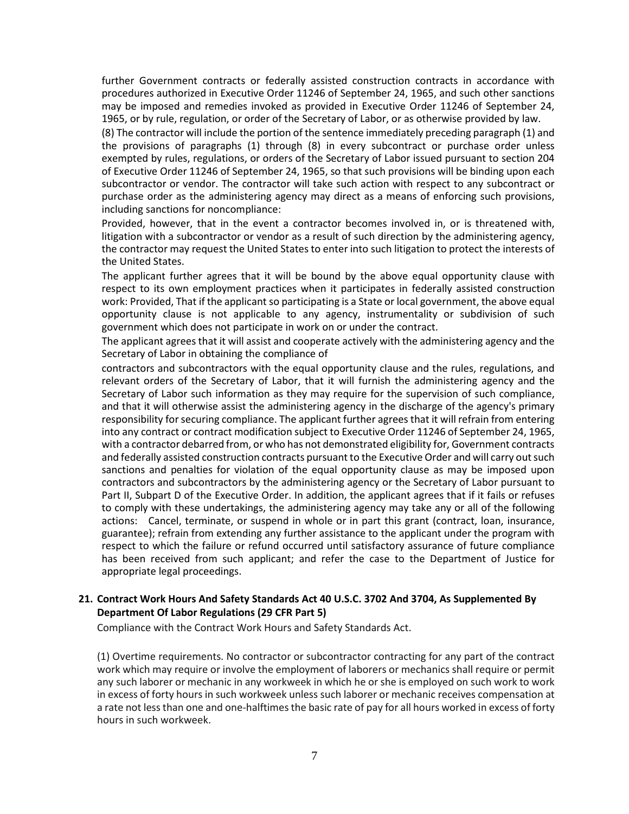further Government contracts or federally assisted construction contracts in accordance with procedures authorized in Executive Order 11246 of September 24, 1965, and such other sanctions may be imposed and remedies invoked as provided in Executive Order 11246 of September 24, 1965, or by rule, regulation, or order of the Secretary of Labor, or as otherwise provided by law.

(8) The contractor will include the portion of the sentence immediately preceding paragraph (1) and the provisions of paragraphs (1) through (8) in every subcontract or purchase order unless exempted by rules, regulations, or orders of the Secretary of Labor issued pursuant to section 204 of Executive Order 11246 of September 24, 1965, so that such provisions will be binding upon each subcontractor or vendor. The contractor will take such action with respect to any subcontract or purchase order as the administering agency may direct as a means of enforcing such provisions, including sanctions for noncompliance:

Provided, however, that in the event a contractor becomes involved in, or is threatened with, litigation with a subcontractor or vendor as a result of such direction by the administering agency, the contractor may request the United States to enter into such litigation to protect the interests of the United States.

The applicant further agrees that it will be bound by the above equal opportunity clause with respect to its own employment practices when it participates in federally assisted construction work: Provided, That if the applicant so participating is a State or local government, the above equal opportunity clause is not applicable to any agency, instrumentality or subdivision of such government which does not participate in work on or under the contract.

The applicant agrees that it will assist and cooperate actively with the administering agency and the Secretary of Labor in obtaining the compliance of

contractors and subcontractors with the equal opportunity clause and the rules, regulations, and relevant orders of the Secretary of Labor, that it will furnish the administering agency and the Secretary of Labor such information as they may require for the supervision of such compliance, and that it will otherwise assist the administering agency in the discharge of the agency's primary responsibility for securing compliance. The applicant further agrees that it will refrain from entering into any contract or contract modification subject to Executive Order 11246 of September 24, 1965, with a contractor debarred from, or who has not demonstrated eligibility for, Government contracts and federally assisted construction contracts pursuant to the Executive Order and will carry out such sanctions and penalties for violation of the equal opportunity clause as may be imposed upon contractors and subcontractors by the administering agency or the Secretary of Labor pursuant to Part II, Subpart D of the Executive Order. In addition, the applicant agrees that if it fails or refuses to comply with these undertakings, the administering agency may take any or all of the following actions: Cancel, terminate, or suspend in whole or in part this grant (contract, loan, insurance, guarantee); refrain from extending any further assistance to the applicant under the program with respect to which the failure or refund occurred until satisfactory assurance of future compliance has been received from such applicant; and refer the case to the Department of Justice for appropriate legal proceedings.

# **21. Contract Work Hours And Safety Standards Act 40 U.S.C. 3702 And 3704, As Supplemented By Department Of Labor Regulations (29 CFR Part 5)**

Compliance with the Contract Work Hours and Safety Standards Act.

(1) Overtime requirements. No contractor or subcontractor contracting for any part of the contract work which may require or involve the employment of laborers or mechanics shall require or permit any such laborer or mechanic in any workweek in which he or she is employed on such work to work in excess of forty hours in such workweek unless such laborer or mechanic receives compensation at a rate not less than one and one-halftimes the basic rate of pay for all hours worked in excess of forty hours in such workweek.